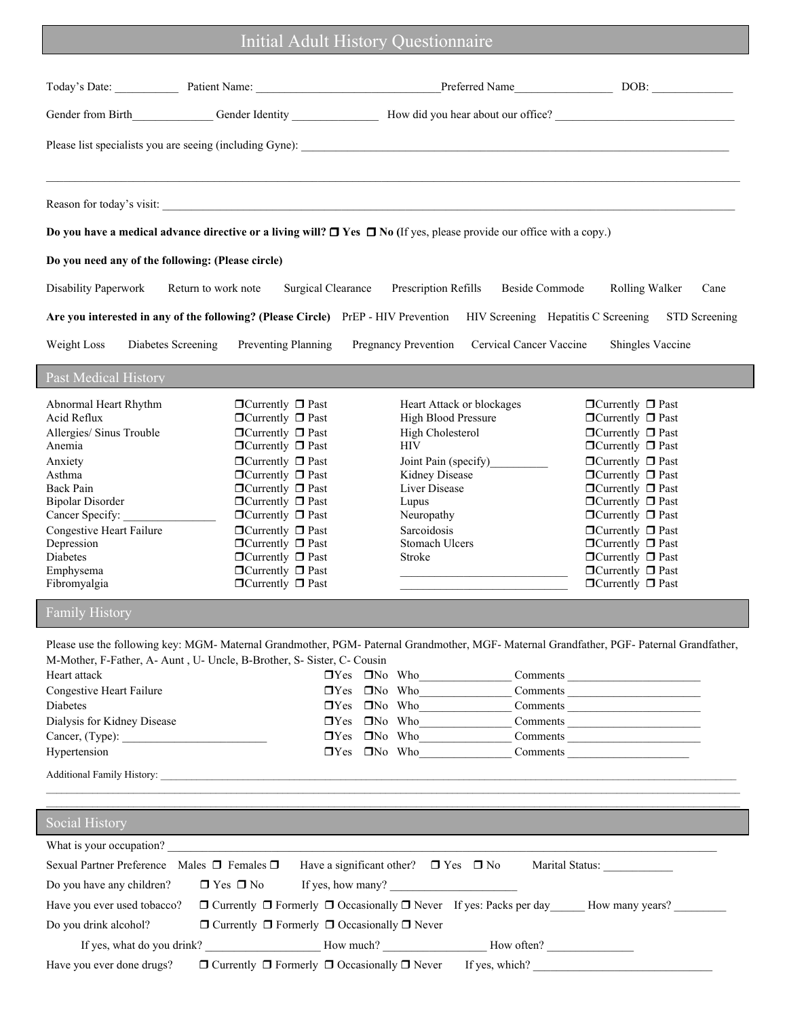## Initial Adult History Questionnaire

| Do you have a medical advance directive or a living will? $\Box$ Yes $\Box$ No (If yes, please provide our office with a copy.)                                                                                                                                                                                                                                                                                                                                                                                                                                                                                                                                                                                                         |                                                                                                                                                                                                                        |                                                                                                                                                                                                                                                                                                                                                                                                                                                              |
|-----------------------------------------------------------------------------------------------------------------------------------------------------------------------------------------------------------------------------------------------------------------------------------------------------------------------------------------------------------------------------------------------------------------------------------------------------------------------------------------------------------------------------------------------------------------------------------------------------------------------------------------------------------------------------------------------------------------------------------------|------------------------------------------------------------------------------------------------------------------------------------------------------------------------------------------------------------------------|--------------------------------------------------------------------------------------------------------------------------------------------------------------------------------------------------------------------------------------------------------------------------------------------------------------------------------------------------------------------------------------------------------------------------------------------------------------|
| Do you need any of the following: (Please circle)                                                                                                                                                                                                                                                                                                                                                                                                                                                                                                                                                                                                                                                                                       |                                                                                                                                                                                                                        |                                                                                                                                                                                                                                                                                                                                                                                                                                                              |
| Disability Paperwork<br><b>Surgical Clearance</b><br>Return to work note                                                                                                                                                                                                                                                                                                                                                                                                                                                                                                                                                                                                                                                                | Prescription Refills<br><b>Beside Commode</b>                                                                                                                                                                          | Rolling Walker<br>Cane                                                                                                                                                                                                                                                                                                                                                                                                                                       |
| Are you interested in any of the following? (Please Circle) PrEP - HIV Prevention HIV Screening Hepatitis C Screening                                                                                                                                                                                                                                                                                                                                                                                                                                                                                                                                                                                                                   |                                                                                                                                                                                                                        | <b>STD</b> Screening                                                                                                                                                                                                                                                                                                                                                                                                                                         |
| Weight Loss<br>Diabetes Screening<br>Preventing Planning                                                                                                                                                                                                                                                                                                                                                                                                                                                                                                                                                                                                                                                                                | <b>Pregnancy Prevention</b><br>Cervical Cancer Vaccine                                                                                                                                                                 | Shingles Vaccine                                                                                                                                                                                                                                                                                                                                                                                                                                             |
| <b>Past Medical History</b>                                                                                                                                                                                                                                                                                                                                                                                                                                                                                                                                                                                                                                                                                                             |                                                                                                                                                                                                                        |                                                                                                                                                                                                                                                                                                                                                                                                                                                              |
| Abnormal Heart Rhythm<br>$\Box$ Currently $\Box$ Past<br>Acid Reflux<br>$\Box$ Currently $\Box$ Past<br>Allergies/ Sinus Trouble<br>$\Box$ Currently $\Box$ Past<br>$\Box$ Currently $\Box$ Past<br>Anemia<br>$\Box$ Currently $\Box$ Past<br>Anxiety<br>$\Box$ Currently $\Box$ Past<br>Asthma<br>Back Pain<br>$\Box$ Currently $\Box$ Past<br><b>Bipolar Disorder</b><br>$\blacksquare$<br>Currently $\blacksquare$<br><br>Past<br>Cancer Specify:<br>$\Box$ Currently $\Box$ Past<br>Congestive Heart Failure<br>$\Box$ Currently $\Box$ Past<br>Depression<br>$\Box$ Currently $\Box$ Past<br>Diabetes<br>$\Box$ Currently $\Box$ Past<br>Emphysema<br>$\Box$ Currently $\Box$ Past<br>Fibromyalgia<br>$\Box$ Currently $\Box$ Past | Heart Attack or blockages<br>High Blood Pressure<br>High Cholesterol<br><b>HIV</b><br>Joint Pain (specify)<br>Kidney Disease<br>Liver Disease<br>Lupus<br>Neuropathy<br>Sarcoidosis<br><b>Stomach Ulcers</b><br>Stroke | $\Box$ Currently $\Box$ Past<br>$\Box$ Currently $\Box$ Past<br>$\Box$ Currently $\Box$ Past<br>$\Box$ Currently $\Box$ Past<br>$\Box$ Currently $\Box$ Past<br>$\Box$ Currently $\Box$ Past<br>$\Box$ Currently $\Box$ Past<br>$\Box$ Currently $\Box$ Past<br>$\Box$ Currently $\Box$ Past<br>$\Box$ Currently $\Box$ Past<br>$\Box$ Currently $\Box$ Past<br>$\Box$ Currently $\Box$ Past<br>$\Box$ Currently $\Box$ Past<br>$\Box$ Currently $\Box$ Past |
| <b>Family History</b>                                                                                                                                                                                                                                                                                                                                                                                                                                                                                                                                                                                                                                                                                                                   |                                                                                                                                                                                                                        |                                                                                                                                                                                                                                                                                                                                                                                                                                                              |

| <b>Heart attack</b>               | ⊔res ⊔no wno             | Comments |
|-----------------------------------|--------------------------|----------|
| Congestive Heart Failure          | $\Box$ Yes $\Box$ No Who | Comments |
| <b>Diabetes</b>                   | $\Box$ Yes $\Box$ No Who | Comments |
| Dialysis for Kidney Disease       | $\Box$ Yes $\Box$ No Who | Comments |
| Cancer, (Type):                   | $\Box$ Yes $\Box$ No Who | Comments |
| Hypertension                      | $\Box$ Yes $\Box$ No Who | Comments |
| <b>Additional Family History:</b> |                          |          |

| <b>Social History</b>                                 |                                                                                         |                |                 |
|-------------------------------------------------------|-----------------------------------------------------------------------------------------|----------------|-----------------|
| What is your occupation?                              |                                                                                         |                |                 |
| Sexual Partner Preference Males $\Box$ Females $\Box$ | Have a significant other? $\Box$ Yes $\Box$ No                                          |                | Marital Status: |
| Do you have any children?                             | $\Box$ Yes $\Box$ No<br>If yes, how many?                                               |                |                 |
| Have you ever used tobacco?                           | $\Box$ Currently $\Box$ Formerly $\Box$ Occasionally $\Box$ Never If yes: Packs per day |                | How many years? |
| Do you drink alcohol?                                 | $\Box$ Currently $\Box$ Formerly $\Box$ Occasionally $\Box$ Never                       |                |                 |
| If yes, what do you drink?                            | How much?                                                                               | How often?     |                 |
| Have you ever done drugs?                             | $\Box$ Currently $\Box$ Formerly $\Box$ Occasionally $\Box$ Never                       | If yes, which? |                 |

 $\mathcal{L} = \{ \mathcal{L} = \{ \mathcal{L} = \{ \mathcal{L} = \{ \mathcal{L} = \{ \mathcal{L} = \{ \mathcal{L} = \{ \mathcal{L} = \{ \mathcal{L} = \{ \mathcal{L} = \{ \mathcal{L} = \{ \mathcal{L} = \{ \mathcal{L} = \{ \mathcal{L} = \{ \mathcal{L} = \{ \mathcal{L} = \{ \mathcal{L} = \{ \mathcal{L} = \{ \mathcal{L} = \{ \mathcal{L} = \{ \mathcal{L} = \{ \mathcal{L} = \{ \mathcal{L} = \{ \mathcal{L} = \{ \mathcal{$